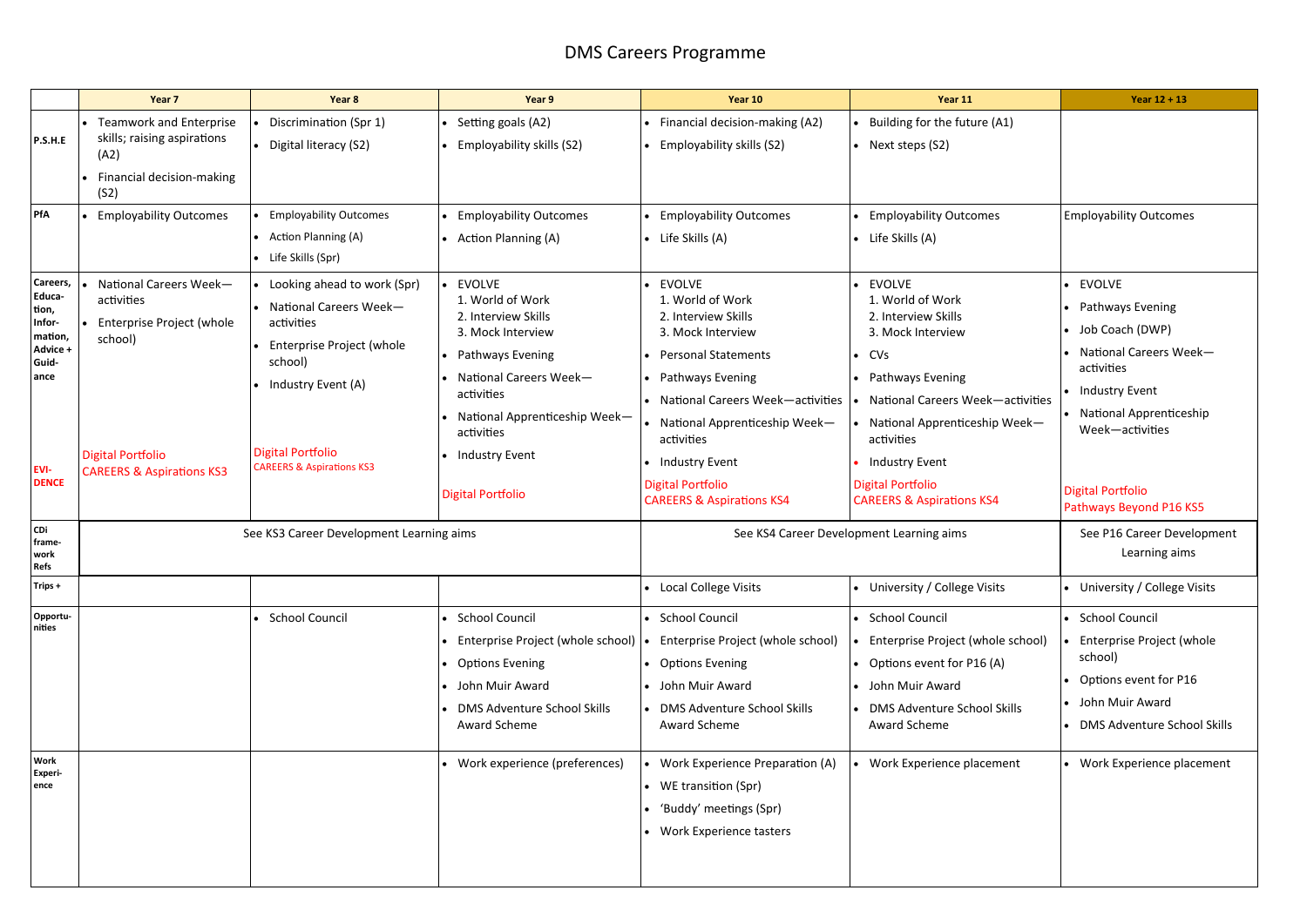|                                                                                                                                                                                                                                                           | Year 7                                                                                                     | Year 8                                                                                                                                                                                                | Year 9                                                                                                                                                                                                                                         | Year 10                                                                                                                                                                                                                                                                                                         | Year 11                                                                                                                                                                                                                                                                                              | Year $12 + 13$                                                                                                                                                                                                           |
|-----------------------------------------------------------------------------------------------------------------------------------------------------------------------------------------------------------------------------------------------------------|------------------------------------------------------------------------------------------------------------|-------------------------------------------------------------------------------------------------------------------------------------------------------------------------------------------------------|------------------------------------------------------------------------------------------------------------------------------------------------------------------------------------------------------------------------------------------------|-----------------------------------------------------------------------------------------------------------------------------------------------------------------------------------------------------------------------------------------------------------------------------------------------------------------|------------------------------------------------------------------------------------------------------------------------------------------------------------------------------------------------------------------------------------------------------------------------------------------------------|--------------------------------------------------------------------------------------------------------------------------------------------------------------------------------------------------------------------------|
| P.S.H.E                                                                                                                                                                                                                                                   | <b>Teamwork and Enterprise</b><br>skills; raising aspirations<br>(A2)<br>Financial decision-making<br>(S2) | Discrimination (Spr 1)<br>• Digital literacy (S2)                                                                                                                                                     | Setting goals (A2)<br>• Employability skills (S2)                                                                                                                                                                                              | Financial decision-making (A2)<br>Employability skills (S2)                                                                                                                                                                                                                                                     | Building for the future (A1)<br>• Next steps $(S2)$                                                                                                                                                                                                                                                  |                                                                                                                                                                                                                          |
| PfA                                                                                                                                                                                                                                                       | <b>Employability Outcomes</b>                                                                              | <b>Employability Outcomes</b><br>• Action Planning (A)<br>Life Skills (Spr)                                                                                                                           | • Employability Outcomes<br>• Action Planning (A)                                                                                                                                                                                              | <b>Employability Outcomes</b><br>$\bullet$ Life Skills (A)                                                                                                                                                                                                                                                      | • Employability Outcomes<br>$\bullet$ Life Skills (A)                                                                                                                                                                                                                                                | <b>Employability Outcomes</b>                                                                                                                                                                                            |
| Careers,<br>National Careers Week-<br>Educa-<br>activities<br>tion,<br>Enterprise Project (whole<br>Infor-<br>mation,<br>school)<br>Advice +<br>Guid-<br>ance<br><b>Digital Portfolio</b><br>EVI-<br><b>CAREERS &amp; Aspirations KS3</b><br><b>DENCE</b> |                                                                                                            | Looking ahead to work (Spr)<br>National Careers Week-<br>activities<br>Enterprise Project (whole<br>school)<br>Industry Event (A)<br><b>Digital Portfolio</b><br><b>CAREERS &amp; Aspirations KS3</b> | <b>EVOLVE</b><br>1. World of Work<br>2. Interview Skills<br>3. Mock Interview<br>• Pathways Evening<br>• National Careers Week-<br>activities<br>• National Apprenticeship Week-<br>activities<br>• Industry Event<br><b>Digital Portfolio</b> | <b>EVOLVE</b><br>1. World of Work<br>2. Interview Skills<br>3. Mock Interview<br><b>Personal Statements</b><br>Pathways Evening<br>National Careers Week-activities<br>National Apprenticeship Week-<br>activities<br><b>Industry Event</b><br><b>Digital Portfolio</b><br><b>CAREERS &amp; Aspirations KS4</b> | <b>EVOLVE</b><br>1. World of Work<br>2. Interview Skills<br>3. Mock Interview<br>$\bullet$ CVs<br>• Pathways Evening<br>National Careers Week-activities<br>National Apprenticeship Week-<br>activities<br><b>Industry Event</b><br><b>Digital Portfolio</b><br><b>CAREERS &amp; Aspirations KS4</b> | • EVOLVE<br>• Pathways Evening<br>• Job Coach (DWP)<br>• National Careers Week-<br>activities<br>• Industry Event<br>• National Apprenticeship<br>Week-activities<br><b>Digital Portfolio</b><br>Pathways Beyond P16 KS5 |
| CDi<br>frame-<br>work<br>Refs                                                                                                                                                                                                                             |                                                                                                            | See KS3 Career Development Learning aims                                                                                                                                                              |                                                                                                                                                                                                                                                |                                                                                                                                                                                                                                                                                                                 | See KS4 Career Development Learning aims                                                                                                                                                                                                                                                             | See P16 Career Development<br>Learning aims                                                                                                                                                                              |
| Trips +                                                                                                                                                                                                                                                   |                                                                                                            |                                                                                                                                                                                                       |                                                                                                                                                                                                                                                | Local College Visits                                                                                                                                                                                                                                                                                            | University / College Visits                                                                                                                                                                                                                                                                          | • University / College Visits                                                                                                                                                                                            |
| Opportu-<br>nities                                                                                                                                                                                                                                        |                                                                                                            | <b>School Council</b>                                                                                                                                                                                 | • School Council<br>• Enterprise Project (whole school)   •<br>• Options Evening<br>• John Muir Award<br><b>DMS Adventure School Skills</b><br>Award Scheme                                                                                    | • School Council<br>Enterprise Project (whole school)<br>• Options Evening<br>• John Muir Award<br><b>DMS Adventure School Skills</b><br>Award Scheme                                                                                                                                                           | · School Council<br>Enterprise Project (whole school)<br>Options event for P16 (A)<br>• John Muir Award<br><b>DMS Adventure School Skills</b><br>Award Scheme                                                                                                                                        | • School Council<br>Enterprise Project (whole<br>school)<br>Options event for P16<br>• John Muir Award<br>• DMS Adventure School Skills                                                                                  |
| <b>Work</b><br>Experi-<br>ence                                                                                                                                                                                                                            |                                                                                                            |                                                                                                                                                                                                       | • Work experience (preferences)                                                                                                                                                                                                                | Work Experience Preparation (A)<br>• WE transition (Spr)<br>'Buddy' meetings (Spr)<br>Work Experience tasters                                                                                                                                                                                                   | Work Experience placement                                                                                                                                                                                                                                                                            | • Work Experience placement                                                                                                                                                                                              |

# DMS Careers Programme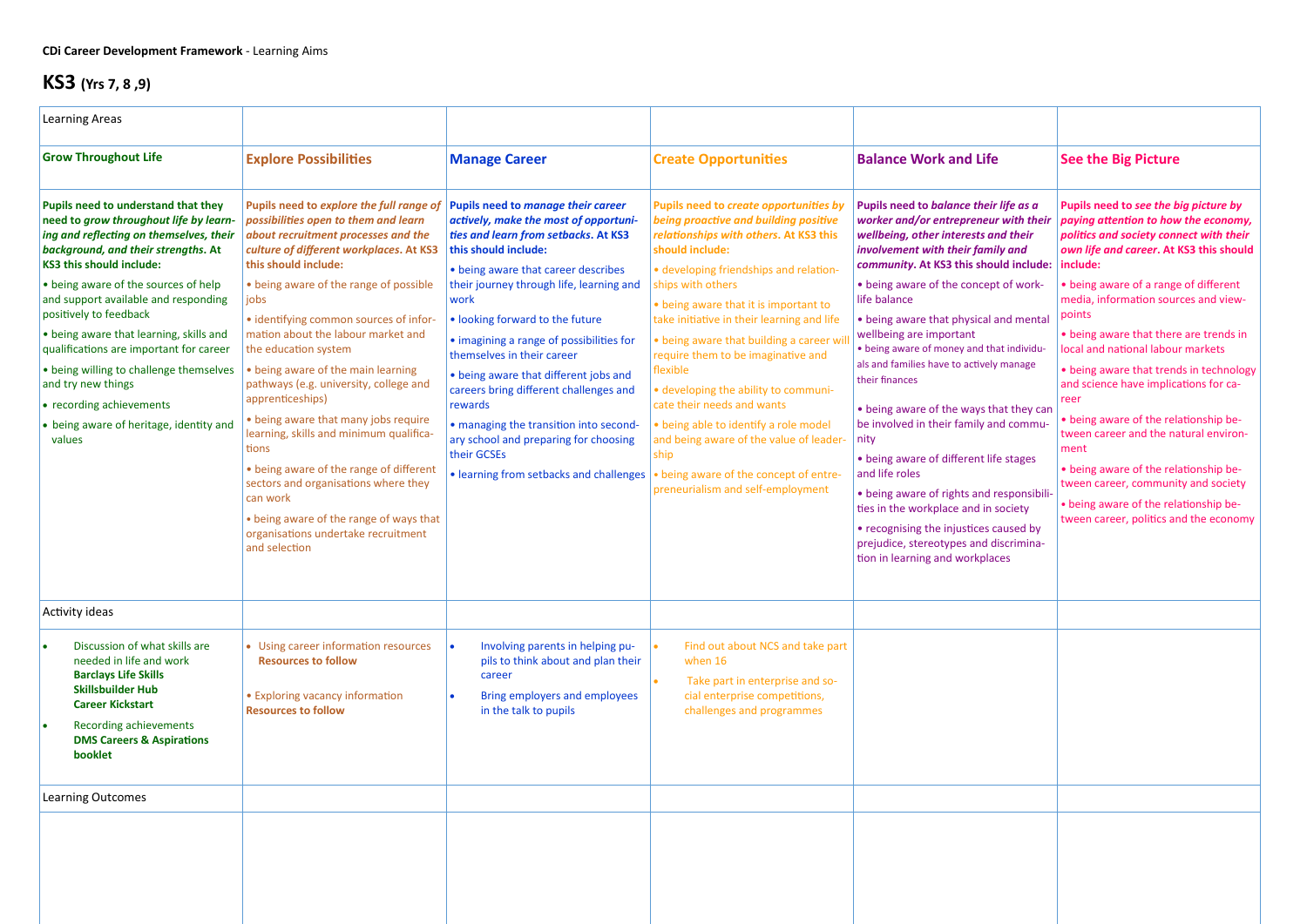| <b>Learning Areas</b>                                                                                                                                                                                                                                                                                                                                                                                                                                                                                                                                |                                                                                                                                                                                                                                                                                                                                                                                                                                                                                                                                                                                                                                                                                                                                                        |                                                                                                                                                                                                                                                                                                                                                                                                                                                                                                                                                                                                |                                                                                                                                                                                                                                                                                                                                                                                                                                                                                                                                                                                                                                                  |                                                                                                                                                                                                                                                                                                                                                                                                                                                                                                                                                                                                                                                                                                                                                                                                                                 |                                                                                                                                                                                                                                                                                                                                                                                                                                                                                                                                                                                                                                                                                                        |
|------------------------------------------------------------------------------------------------------------------------------------------------------------------------------------------------------------------------------------------------------------------------------------------------------------------------------------------------------------------------------------------------------------------------------------------------------------------------------------------------------------------------------------------------------|--------------------------------------------------------------------------------------------------------------------------------------------------------------------------------------------------------------------------------------------------------------------------------------------------------------------------------------------------------------------------------------------------------------------------------------------------------------------------------------------------------------------------------------------------------------------------------------------------------------------------------------------------------------------------------------------------------------------------------------------------------|------------------------------------------------------------------------------------------------------------------------------------------------------------------------------------------------------------------------------------------------------------------------------------------------------------------------------------------------------------------------------------------------------------------------------------------------------------------------------------------------------------------------------------------------------------------------------------------------|--------------------------------------------------------------------------------------------------------------------------------------------------------------------------------------------------------------------------------------------------------------------------------------------------------------------------------------------------------------------------------------------------------------------------------------------------------------------------------------------------------------------------------------------------------------------------------------------------------------------------------------------------|---------------------------------------------------------------------------------------------------------------------------------------------------------------------------------------------------------------------------------------------------------------------------------------------------------------------------------------------------------------------------------------------------------------------------------------------------------------------------------------------------------------------------------------------------------------------------------------------------------------------------------------------------------------------------------------------------------------------------------------------------------------------------------------------------------------------------------|--------------------------------------------------------------------------------------------------------------------------------------------------------------------------------------------------------------------------------------------------------------------------------------------------------------------------------------------------------------------------------------------------------------------------------------------------------------------------------------------------------------------------------------------------------------------------------------------------------------------------------------------------------------------------------------------------------|
| <b>Grow Throughout Life</b>                                                                                                                                                                                                                                                                                                                                                                                                                                                                                                                          | <b>Explore Possibilities</b>                                                                                                                                                                                                                                                                                                                                                                                                                                                                                                                                                                                                                                                                                                                           | <b>Manage Career</b>                                                                                                                                                                                                                                                                                                                                                                                                                                                                                                                                                                           | <b>Create Opportunities</b>                                                                                                                                                                                                                                                                                                                                                                                                                                                                                                                                                                                                                      | <b>Balance Work and Life</b>                                                                                                                                                                                                                                                                                                                                                                                                                                                                                                                                                                                                                                                                                                                                                                                                    | <b>See the Big Picture</b>                                                                                                                                                                                                                                                                                                                                                                                                                                                                                                                                                                                                                                                                             |
| Pupils need to understand that they<br>need to grow throughout life by learn-<br>ing and reflecting on themselves, their<br>background, and their strengths. At<br><b>KS3 this should include:</b><br>• being aware of the sources of help<br>and support available and responding<br>positively to feedback<br>• being aware that learning, skills and<br>qualifications are important for career<br>• being willing to challenge themselves<br>and try new things<br>• recording achievements<br>• being aware of heritage, identity and<br>values | Pupils need to explore the full range of<br>possibilities open to them and learn<br>about recruitment processes and the<br>culture of different workplaces. At KS3<br>this should include:<br>• being aware of the range of possible<br>jobs<br>· identifying common sources of infor-<br>mation about the labour market and<br>the education system<br>• being aware of the main learning<br>pathways (e.g. university, college and<br>apprenticeships)<br>• being aware that many jobs require<br>learning, skills and minimum qualifica-<br>tions<br>• being aware of the range of different<br>sectors and organisations where they<br>can work<br>• being aware of the range of ways that<br>organisations undertake recruitment<br>and selection | Pupils need to manage their career<br>actively, make the most of opportuni-<br>ties and learn from setbacks. At KS3<br>this should include:<br>• being aware that career describes<br>their journey through life, learning and<br>work<br>. looking forward to the future<br>• imagining a range of possibilities for<br>themselves in their career<br>• being aware that different jobs and<br>careers bring different challenges and<br>rewards<br>• managing the transition into second-<br>ary school and preparing for choosing<br>their GCSEs<br>• learning from setbacks and challenges | Pupils need to create opportunities by<br>being proactive and building positive<br>relationships with others. At KS3 this<br>should include:<br>· developing friendships and relation-<br>ships with others<br>• being aware that it is important to<br>take initiative in their learning and life<br>• being aware that building a career wi<br>require them to be imaginative and<br>flexible<br>• developing the ability to communi-<br>cate their needs and wants<br>• being able to identify a role model<br>and being aware of the value of leader-<br>ship<br>• being aware of the concept of entre-<br>preneurialism and self-employment | Pupils need to balance their life as a<br>worker and/or entrepreneur with their<br>wellbeing, other interests and their<br>involvement with their family and<br>community. At KS3 this should include:   include:<br>• being aware of the concept of work-<br>life balance<br>• being aware that physical and mental<br>wellbeing are important<br>• being aware of money and that individu-<br>als and families have to actively manage<br>their finances<br>• being aware of the ways that they can<br>be involved in their family and commu-<br>nity<br>• being aware of different life stages<br>and life roles<br>• being aware of rights and responsibili-<br>ties in the workplace and in society<br>• recognising the injustices caused by<br>prejudice, stereotypes and discrimina-<br>tion in learning and workplaces | Pupils need to see the big picture by<br>paying attention to how the economy,<br>politics and society connect with their<br>own life and career. At KS3 this should<br>• being aware of a range of different<br>media, information sources and view-<br>points<br>• being aware that there are trends in<br>local and national labour markets<br>• being aware that trends in technology<br>and science have implications for ca-<br>reer<br>• being aware of the relationship be-<br>tween career and the natural environ-<br>ment<br>• being aware of the relationship be-<br>tween career, community and society<br>• being aware of the relationship be-<br>tween career, politics and the economy |
| Activity ideas                                                                                                                                                                                                                                                                                                                                                                                                                                                                                                                                       |                                                                                                                                                                                                                                                                                                                                                                                                                                                                                                                                                                                                                                                                                                                                                        |                                                                                                                                                                                                                                                                                                                                                                                                                                                                                                                                                                                                |                                                                                                                                                                                                                                                                                                                                                                                                                                                                                                                                                                                                                                                  |                                                                                                                                                                                                                                                                                                                                                                                                                                                                                                                                                                                                                                                                                                                                                                                                                                 |                                                                                                                                                                                                                                                                                                                                                                                                                                                                                                                                                                                                                                                                                                        |
| Discussion of what skills are<br>needed in life and work<br><b>Barclays Life Skills</b><br><b>Skillsbuilder Hub</b><br><b>Career Kickstart</b><br><b>Recording achievements</b><br><b>DMS Careers &amp; Aspirations</b><br>booklet                                                                                                                                                                                                                                                                                                                   | • Using career information resources<br><b>Resources to follow</b><br>• Exploring vacancy information<br><b>Resources to follow</b>                                                                                                                                                                                                                                                                                                                                                                                                                                                                                                                                                                                                                    | Involving parents in helping pu-<br>pils to think about and plan their<br>career<br><b>Bring employers and employees</b><br>in the talk to pupils                                                                                                                                                                                                                                                                                                                                                                                                                                              | Find out about NCS and take part<br>when 16<br>Take part in enterprise and so-<br>cial enterprise competitions,<br>challenges and programmes                                                                                                                                                                                                                                                                                                                                                                                                                                                                                                     |                                                                                                                                                                                                                                                                                                                                                                                                                                                                                                                                                                                                                                                                                                                                                                                                                                 |                                                                                                                                                                                                                                                                                                                                                                                                                                                                                                                                                                                                                                                                                                        |
| <b>Learning Outcomes</b>                                                                                                                                                                                                                                                                                                                                                                                                                                                                                                                             |                                                                                                                                                                                                                                                                                                                                                                                                                                                                                                                                                                                                                                                                                                                                                        |                                                                                                                                                                                                                                                                                                                                                                                                                                                                                                                                                                                                |                                                                                                                                                                                                                                                                                                                                                                                                                                                                                                                                                                                                                                                  |                                                                                                                                                                                                                                                                                                                                                                                                                                                                                                                                                                                                                                                                                                                                                                                                                                 |                                                                                                                                                                                                                                                                                                                                                                                                                                                                                                                                                                                                                                                                                                        |
|                                                                                                                                                                                                                                                                                                                                                                                                                                                                                                                                                      |                                                                                                                                                                                                                                                                                                                                                                                                                                                                                                                                                                                                                                                                                                                                                        |                                                                                                                                                                                                                                                                                                                                                                                                                                                                                                                                                                                                |                                                                                                                                                                                                                                                                                                                                                                                                                                                                                                                                                                                                                                                  |                                                                                                                                                                                                                                                                                                                                                                                                                                                                                                                                                                                                                                                                                                                                                                                                                                 |                                                                                                                                                                                                                                                                                                                                                                                                                                                                                                                                                                                                                                                                                                        |

# **KS3 (Yrs 7, 8 ,9)**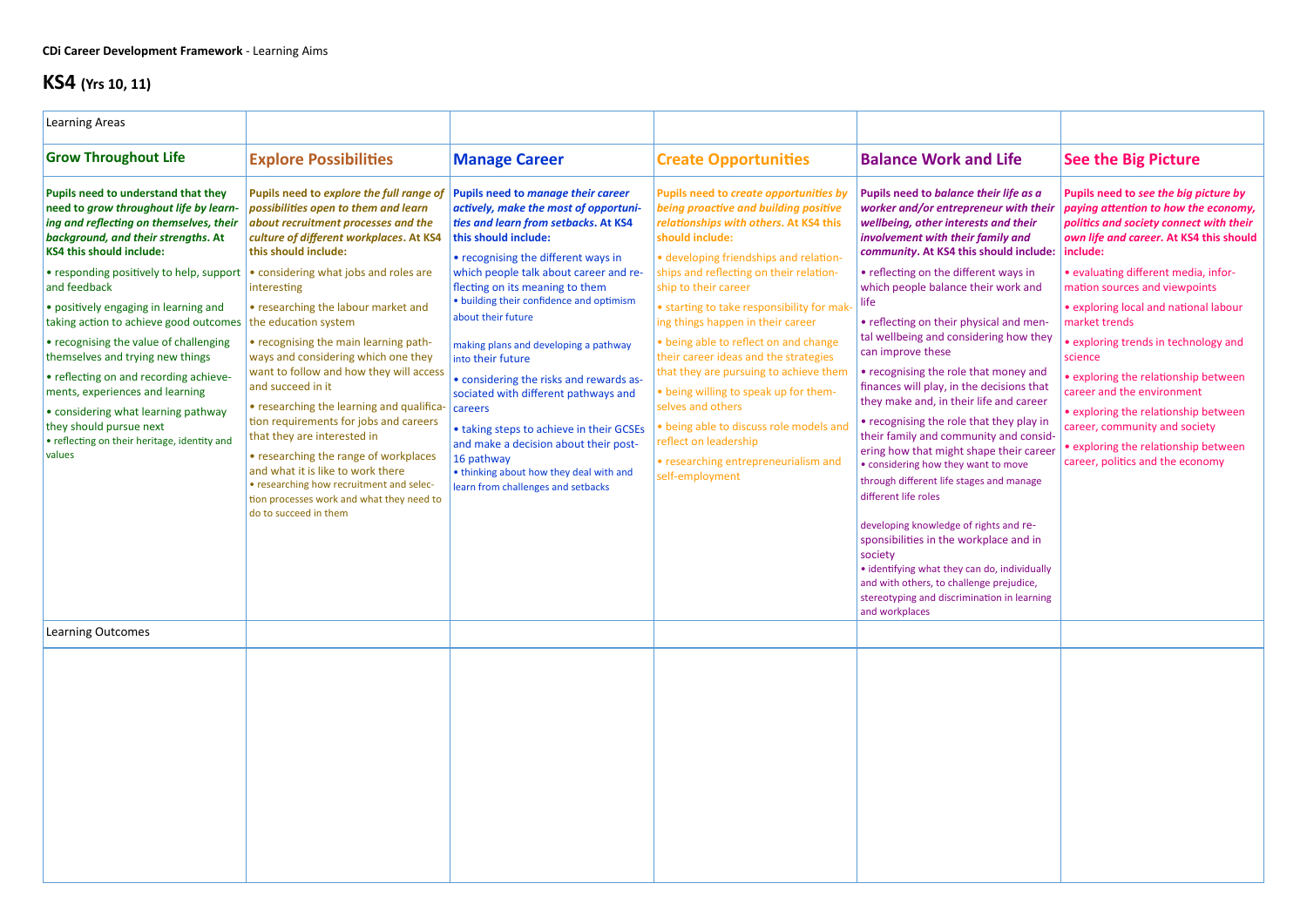| <b>Learning Areas</b>                                                                                                                                                                                                                                                                                                                                                                                                                                                                                                                                                                                                                    |                                                                                                                                                                                                                                                                                                                                                                                                                                                                                                                                                                                                                                                                                                                                                                                         |                                                                                                                                                                                                                                                                                                                                                                                                                                                                                                                                                                                                                                                                                   |                                                                                                                                                                                                                                                                                                                                                                                                                                                                                                                                                                                                                                                                      |                                                                                                                                                                                                                                                                                                                                                                                                                                                                                                                                                                                                                                                                                                                                                                                                                                                                                                                                                                                                                                 |                                                                                                                                                                                                                                                                                                                                                                                                                                                                                                                                                                                                  |
|------------------------------------------------------------------------------------------------------------------------------------------------------------------------------------------------------------------------------------------------------------------------------------------------------------------------------------------------------------------------------------------------------------------------------------------------------------------------------------------------------------------------------------------------------------------------------------------------------------------------------------------|-----------------------------------------------------------------------------------------------------------------------------------------------------------------------------------------------------------------------------------------------------------------------------------------------------------------------------------------------------------------------------------------------------------------------------------------------------------------------------------------------------------------------------------------------------------------------------------------------------------------------------------------------------------------------------------------------------------------------------------------------------------------------------------------|-----------------------------------------------------------------------------------------------------------------------------------------------------------------------------------------------------------------------------------------------------------------------------------------------------------------------------------------------------------------------------------------------------------------------------------------------------------------------------------------------------------------------------------------------------------------------------------------------------------------------------------------------------------------------------------|----------------------------------------------------------------------------------------------------------------------------------------------------------------------------------------------------------------------------------------------------------------------------------------------------------------------------------------------------------------------------------------------------------------------------------------------------------------------------------------------------------------------------------------------------------------------------------------------------------------------------------------------------------------------|---------------------------------------------------------------------------------------------------------------------------------------------------------------------------------------------------------------------------------------------------------------------------------------------------------------------------------------------------------------------------------------------------------------------------------------------------------------------------------------------------------------------------------------------------------------------------------------------------------------------------------------------------------------------------------------------------------------------------------------------------------------------------------------------------------------------------------------------------------------------------------------------------------------------------------------------------------------------------------------------------------------------------------|--------------------------------------------------------------------------------------------------------------------------------------------------------------------------------------------------------------------------------------------------------------------------------------------------------------------------------------------------------------------------------------------------------------------------------------------------------------------------------------------------------------------------------------------------------------------------------------------------|
| <b>Grow Throughout Life</b>                                                                                                                                                                                                                                                                                                                                                                                                                                                                                                                                                                                                              | <b>Explore Possibilities</b>                                                                                                                                                                                                                                                                                                                                                                                                                                                                                                                                                                                                                                                                                                                                                            | <b>Manage Career</b>                                                                                                                                                                                                                                                                                                                                                                                                                                                                                                                                                                                                                                                              | <b>Create Opportunities</b>                                                                                                                                                                                                                                                                                                                                                                                                                                                                                                                                                                                                                                          | <b>Balance Work and Life</b>                                                                                                                                                                                                                                                                                                                                                                                                                                                                                                                                                                                                                                                                                                                                                                                                                                                                                                                                                                                                    | <b>See the Big Picture</b>                                                                                                                                                                                                                                                                                                                                                                                                                                                                                                                                                                       |
| Pupils need to understand that they<br>need to grow throughout life by learn-<br>ing and reflecting on themselves, their<br>background, and their strengths. At<br><b>KS4 this should include:</b><br>• responding positively to help, support<br>and feedback<br>• positively engaging in learning and<br>taking action to achieve good outcomes<br>• recognising the value of challenging<br>themselves and trying new things<br>• reflecting on and recording achieve-<br>ments, experiences and learning<br>• considering what learning pathway<br>they should pursue next<br>• reflecting on their heritage, identity and<br>values | Pupils need to explore the full range of<br>possibilities open to them and learn<br>about recruitment processes and the<br>culture of different workplaces. At KS4<br>this should include:<br>• considering what jobs and roles are<br>interesting<br>• researching the labour market and<br>the education system<br>• recognising the main learning path-<br>ways and considering which one they<br>want to follow and how they will access<br>and succeed in it<br>• researching the learning and qualifica-<br>tion requirements for jobs and careers<br>that they are interested in<br>• researching the range of workplaces<br>and what it is like to work there<br>• researching how recruitment and selec-<br>tion processes work and what they need to<br>do to succeed in them | Pupils need to manage their career<br>actively, make the most of opportuni-<br>ties and learn from setbacks. At KS4<br>this should include:<br>• recognising the different ways in<br>which people talk about career and re-<br>flecting on its meaning to them<br>• building their confidence and optimism<br>about their future<br>making plans and developing a pathway<br>into their future<br>• considering the risks and rewards as-<br>sociated with different pathways and<br>careers<br>• taking steps to achieve in their GCSEs<br>and make a decision about their post-<br>16 pathway<br>• thinking about how they deal with and<br>learn from challenges and setbacks | Pupils need to create opportunities by<br>being proactive and building positive<br>relationships with others. At KS4 this<br>should include:<br>• developing friendships and relation-<br>ships and reflecting on their relation-<br>ship to their career<br>• starting to take responsibility for mak<br>ing things happen in their career<br>• being able to reflect on and change<br>their career ideas and the strategies<br>that they are pursuing to achieve them<br>• being willing to speak up for them-<br>selves and others<br>· being able to discuss role models and<br>reflect on leadership<br>• researching entrepreneurialism and<br>self-employment | Pupils need to balance their life as a<br>worker and/or entrepreneur with their<br>wellbeing, other interests and their<br>involvement with their family and<br>community. At KS4 this should include:<br>• reflecting on the different ways in<br>which people balance their work and<br>life<br>• reflecting on their physical and men-<br>tal wellbeing and considering how they<br>can improve these<br>• recognising the role that money and<br>finances will play, in the decisions that<br>they make and, in their life and career<br>• recognising the role that they play in<br>their family and community and consid-<br>ering how that might shape their career<br>• considering how they want to move<br>through different life stages and manage<br>different life roles<br>developing knowledge of rights and re-<br>sponsibilities in the workplace and in<br>society<br>• identifying what they can do, individually<br>and with others, to challenge prejudice,<br>stereotyping and discrimination in learning | Pupils need to see the big picture by<br>paying attention to how the economy,<br>politics and society connect with their<br>own life and career. At KS4 this should<br>include:<br>• evaluating different media, infor-<br>mation sources and viewpoints<br>• exploring local and national labour<br>market trends<br>• exploring trends in technology and<br>science<br>• exploring the relationship between<br>career and the environment<br>• exploring the relationship between<br>career, community and society<br>• exploring the relationship between<br>career, politics and the economy |
| Learning Outcomes                                                                                                                                                                                                                                                                                                                                                                                                                                                                                                                                                                                                                        |                                                                                                                                                                                                                                                                                                                                                                                                                                                                                                                                                                                                                                                                                                                                                                                         |                                                                                                                                                                                                                                                                                                                                                                                                                                                                                                                                                                                                                                                                                   |                                                                                                                                                                                                                                                                                                                                                                                                                                                                                                                                                                                                                                                                      | and workplaces                                                                                                                                                                                                                                                                                                                                                                                                                                                                                                                                                                                                                                                                                                                                                                                                                                                                                                                                                                                                                  |                                                                                                                                                                                                                                                                                                                                                                                                                                                                                                                                                                                                  |
|                                                                                                                                                                                                                                                                                                                                                                                                                                                                                                                                                                                                                                          |                                                                                                                                                                                                                                                                                                                                                                                                                                                                                                                                                                                                                                                                                                                                                                                         |                                                                                                                                                                                                                                                                                                                                                                                                                                                                                                                                                                                                                                                                                   |                                                                                                                                                                                                                                                                                                                                                                                                                                                                                                                                                                                                                                                                      |                                                                                                                                                                                                                                                                                                                                                                                                                                                                                                                                                                                                                                                                                                                                                                                                                                                                                                                                                                                                                                 |                                                                                                                                                                                                                                                                                                                                                                                                                                                                                                                                                                                                  |

## **KS4 (Yrs 10, 11)**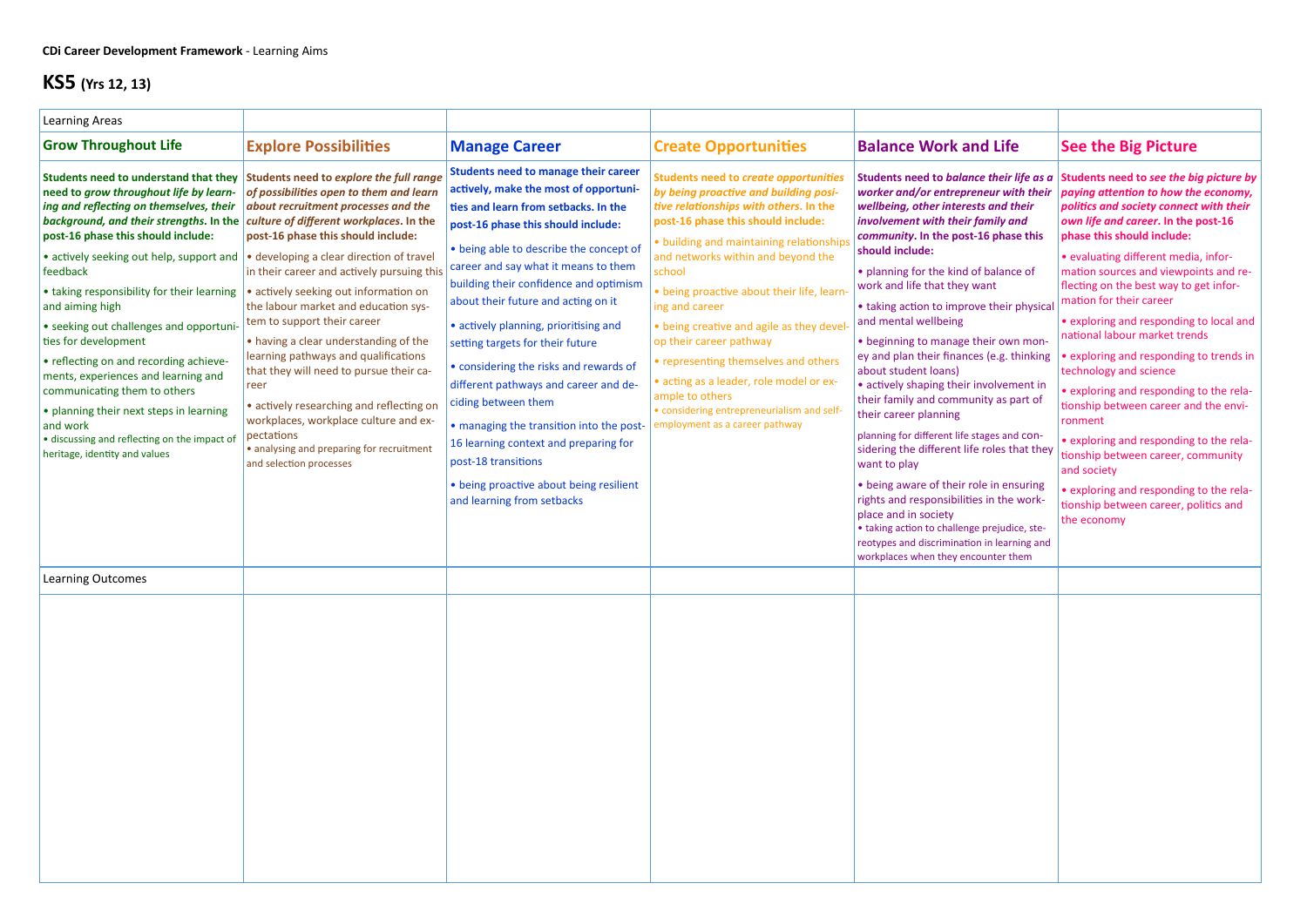| <b>Learning Areas</b>                                                                                                                                                                                                                                                                                                                                                                                                                                                                                                                                                                                                                                            |                                                                                                                                                                                                                                                                                                                                                                                                                                                                                                                                                                                                                                                                                                                                     |                                                                                                                                                                                                                                                                                                                                                                                                                                                                                                                                                                                                                                                                                                                    |                                                                                                                                                                                                                                                                                                                                                                                                                                                                                                                                                                                              |                                                                                                                                                                                                                                                                                                                                                                                                                                                                                                                                                                                                                                                                                                                                                                                                                                                                                                                                                                      |                                                                                                                                                                                                                                                                                                                                                                                                                                                                                                                                                                                                                                                                                                                                                                                                          |
|------------------------------------------------------------------------------------------------------------------------------------------------------------------------------------------------------------------------------------------------------------------------------------------------------------------------------------------------------------------------------------------------------------------------------------------------------------------------------------------------------------------------------------------------------------------------------------------------------------------------------------------------------------------|-------------------------------------------------------------------------------------------------------------------------------------------------------------------------------------------------------------------------------------------------------------------------------------------------------------------------------------------------------------------------------------------------------------------------------------------------------------------------------------------------------------------------------------------------------------------------------------------------------------------------------------------------------------------------------------------------------------------------------------|--------------------------------------------------------------------------------------------------------------------------------------------------------------------------------------------------------------------------------------------------------------------------------------------------------------------------------------------------------------------------------------------------------------------------------------------------------------------------------------------------------------------------------------------------------------------------------------------------------------------------------------------------------------------------------------------------------------------|----------------------------------------------------------------------------------------------------------------------------------------------------------------------------------------------------------------------------------------------------------------------------------------------------------------------------------------------------------------------------------------------------------------------------------------------------------------------------------------------------------------------------------------------------------------------------------------------|----------------------------------------------------------------------------------------------------------------------------------------------------------------------------------------------------------------------------------------------------------------------------------------------------------------------------------------------------------------------------------------------------------------------------------------------------------------------------------------------------------------------------------------------------------------------------------------------------------------------------------------------------------------------------------------------------------------------------------------------------------------------------------------------------------------------------------------------------------------------------------------------------------------------------------------------------------------------|----------------------------------------------------------------------------------------------------------------------------------------------------------------------------------------------------------------------------------------------------------------------------------------------------------------------------------------------------------------------------------------------------------------------------------------------------------------------------------------------------------------------------------------------------------------------------------------------------------------------------------------------------------------------------------------------------------------------------------------------------------------------------------------------------------|
| <b>Grow Throughout Life</b>                                                                                                                                                                                                                                                                                                                                                                                                                                                                                                                                                                                                                                      | <b>Explore Possibilities</b>                                                                                                                                                                                                                                                                                                                                                                                                                                                                                                                                                                                                                                                                                                        | <b>Manage Career</b>                                                                                                                                                                                                                                                                                                                                                                                                                                                                                                                                                                                                                                                                                               | <b>Create Opportunities</b>                                                                                                                                                                                                                                                                                                                                                                                                                                                                                                                                                                  | <b>Balance Work and Life</b>                                                                                                                                                                                                                                                                                                                                                                                                                                                                                                                                                                                                                                                                                                                                                                                                                                                                                                                                         | <b>See the Big Picture</b>                                                                                                                                                                                                                                                                                                                                                                                                                                                                                                                                                                                                                                                                                                                                                                               |
| Students need to understand that they<br>need to grow throughout life by learn-<br>ing and reflecting on themselves, their<br>background, and their strengths. In the<br>post-16 phase this should include:<br>• actively seeking out help, support and<br>feedback<br>• taking responsibility for their learning<br>and aiming high<br>• seeking out challenges and opportuni-<br>ties for development<br>• reflecting on and recording achieve-<br>ments, experiences and learning and<br>communicating them to others<br>• planning their next steps in learning<br>and work<br>· discussing and reflecting on the impact of<br>heritage, identity and values | Students need to explore the full range<br>of possibilities open to them and learn<br>about recruitment processes and the<br>culture of different workplaces. In the<br>post-16 phase this should include:<br>• developing a clear direction of travel<br>in their career and actively pursuing this<br>• actively seeking out information on<br>the labour market and education sys-<br>tem to support their career<br>• having a clear understanding of the<br>learning pathways and qualifications<br>that they will need to pursue their ca-<br>reer<br>· actively researching and reflecting on<br>workplaces, workplace culture and ex-<br>pectations<br>· analysing and preparing for recruitment<br>and selection processes | <b>Students need to manage their career</b><br>actively, make the most of opportuni-<br>ties and learn from setbacks. In the<br>post-16 phase this should include:<br>• being able to describe the concept of<br>career and say what it means to them<br>building their confidence and optimism<br>about their future and acting on it<br>• actively planning, prioritising and<br>setting targets for their future<br>• considering the risks and rewards of<br>different pathways and career and de-<br>ciding between them<br>• managing the transition into the post-<br>16 learning context and preparing for<br>post-18 transitions<br>• being proactive about being resilient<br>and learning from setbacks | <b>Students need to create opportunities</b><br>by being proactive and building posi-<br>tive relationships with others. In the<br>post-16 phase this should include:<br>· building and maintaining relationship<br>and networks within and beyond the<br>school<br>• being proactive about their life, learn<br>ing and career<br>• being creative and agile as they devel<br>op their career pathway<br>• representing themselves and others<br>· acting as a leader, role model or ex-<br>ample to others<br>• considering entrepreneurialism and self-<br>employment as a career pathway | Students need to balance their life as a<br>worker and/or entrepreneur with their<br>wellbeing, other interests and their<br>involvement with their family and<br>community. In the post-16 phase this<br>should include:<br>• planning for the kind of balance of<br>work and life that they want<br>• taking action to improve their physical<br>and mental wellbeing<br>• beginning to manage their own mon-<br>ey and plan their finances (e.g. thinking<br>about student loans)<br>• actively shaping their involvement in<br>their family and community as part of<br>their career planning<br>planning for different life stages and con-<br>sidering the different life roles that they<br>want to play<br>• being aware of their role in ensuring<br>rights and responsibilities in the work-<br>place and in society<br>• taking action to challenge prejudice, ste-<br>reotypes and discrimination in learning and<br>workplaces when they encounter them | Students need to see the big picture by<br>paying attention to how the economy,<br>politics and society connect with their<br>own life and career. In the post-16<br>phase this should include:<br>• evaluating different media, infor-<br>mation sources and viewpoints and re-<br>flecting on the best way to get infor-<br>mation for their career<br>• exploring and responding to local and<br>national labour market trends<br>• exploring and responding to trends in<br>technology and science<br>• exploring and responding to the rela-<br>tionship between career and the envi-<br>ronment<br>• exploring and responding to the rela-<br>tionship between career, community<br>and society<br>• exploring and responding to the rela-<br>tionship between career, politics and<br>the economy |
| <b>Learning Outcomes</b>                                                                                                                                                                                                                                                                                                                                                                                                                                                                                                                                                                                                                                         |                                                                                                                                                                                                                                                                                                                                                                                                                                                                                                                                                                                                                                                                                                                                     |                                                                                                                                                                                                                                                                                                                                                                                                                                                                                                                                                                                                                                                                                                                    |                                                                                                                                                                                                                                                                                                                                                                                                                                                                                                                                                                                              |                                                                                                                                                                                                                                                                                                                                                                                                                                                                                                                                                                                                                                                                                                                                                                                                                                                                                                                                                                      |                                                                                                                                                                                                                                                                                                                                                                                                                                                                                                                                                                                                                                                                                                                                                                                                          |
|                                                                                                                                                                                                                                                                                                                                                                                                                                                                                                                                                                                                                                                                  |                                                                                                                                                                                                                                                                                                                                                                                                                                                                                                                                                                                                                                                                                                                                     |                                                                                                                                                                                                                                                                                                                                                                                                                                                                                                                                                                                                                                                                                                                    |                                                                                                                                                                                                                                                                                                                                                                                                                                                                                                                                                                                              |                                                                                                                                                                                                                                                                                                                                                                                                                                                                                                                                                                                                                                                                                                                                                                                                                                                                                                                                                                      |                                                                                                                                                                                                                                                                                                                                                                                                                                                                                                                                                                                                                                                                                                                                                                                                          |

## **KS5 (Yrs 12, 13)**